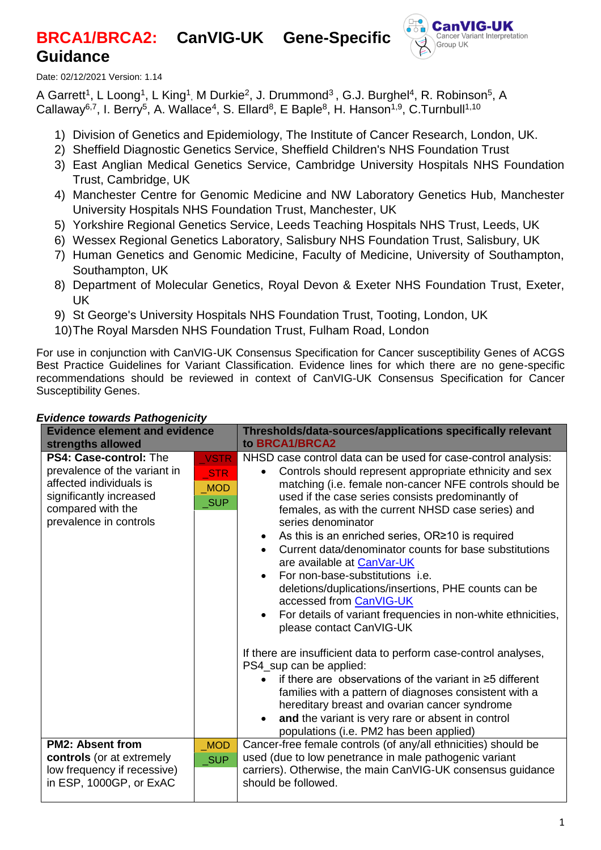# **BRCA1/BRCA2: CanVIG-UK Gene-Specific Guidance**



Date: 02/12/2021 Version: 1.14

A Garrett<sup>1</sup>, L Loong<sup>1</sup>, L King<sup>1</sup>, M Durkie<sup>2</sup>, J. Drummond<sup>3</sup>, G.J. Burghel<sup>4</sup>, R. Robinson<sup>5</sup>, A Callaway<sup>6,7</sup>, I. Berry<sup>5</sup>, A. Wallace<sup>4</sup>, S. Ellard<sup>8</sup>, E Baple<sup>8</sup>, H. Hanson<sup>1,9</sup>, C.Turnbull<sup>1,10</sup>

- 1) Division of Genetics and Epidemiology, The Institute of Cancer Research, London, UK.
- 2) Sheffield Diagnostic Genetics Service, Sheffield Children's NHS Foundation Trust
- 3) East Anglian Medical Genetics Service, Cambridge University Hospitals NHS Foundation Trust, Cambridge, UK
- 4) Manchester Centre for Genomic Medicine and NW Laboratory Genetics Hub, Manchester University Hospitals NHS Foundation Trust, Manchester, UK
- 5) Yorkshire Regional Genetics Service, Leeds Teaching Hospitals NHS Trust, Leeds, UK
- 6) Wessex Regional Genetics Laboratory, Salisbury NHS Foundation Trust, Salisbury, UK
- 7) Human Genetics and Genomic Medicine, Faculty of Medicine, University of Southampton, Southampton, UK
- 8) Department of Molecular Genetics, Royal Devon & Exeter NHS Foundation Trust, Exeter, UK
- 9) St George's University Hospitals NHS Foundation Trust, Tooting, London, UK
- 10)The Royal Marsden NHS Foundation Trust, Fulham Road, London

For use in conjunction with CanVIG-UK Consensus Specification for Cancer susceptibility Genes of ACGS Best Practice Guidelines for Variant Classification. Evidence lines for which there are no gene-specific recommendations should be reviewed in context of CanVIG-UK Consensus Specification for Cancer Susceptibility Genes.

| <b>Evidence element and evidence</b><br>strengths allowed                                                                                                   |                                                                | Thresholds/data-sources/applications specifically relevant<br>to BRCA1/BRCA2                                                                                                                                                                                                                                                                                                                                                                                                                                                                                                                                                                                                                                                                                                                                                                                                                                                                                                                                                                                                                                 |  |  |  |  |
|-------------------------------------------------------------------------------------------------------------------------------------------------------------|----------------------------------------------------------------|--------------------------------------------------------------------------------------------------------------------------------------------------------------------------------------------------------------------------------------------------------------------------------------------------------------------------------------------------------------------------------------------------------------------------------------------------------------------------------------------------------------------------------------------------------------------------------------------------------------------------------------------------------------------------------------------------------------------------------------------------------------------------------------------------------------------------------------------------------------------------------------------------------------------------------------------------------------------------------------------------------------------------------------------------------------------------------------------------------------|--|--|--|--|
| PS4: Case-control: The<br>prevalence of the variant in<br>affected individuals is<br>significantly increased<br>compared with the<br>prevalence in controls | <b>VSTR</b><br><b>STR</b><br><b>MOD</b><br>$\sqrt{\text{SUP}}$ | NHSD case control data can be used for case-control analysis:<br>Controls should represent appropriate ethnicity and sex<br>matching (i.e. female non-cancer NFE controls should be<br>used if the case series consists predominantly of<br>females, as with the current NHSD case series) and<br>series denominator<br>As this is an enriched series, OR≥10 is required<br>$\bullet$<br>Current data/denominator counts for base substitutions<br>are available at CanVar-UK<br>For non-base-substitutions <i>i.e.</i><br>$\bullet$<br>deletions/duplications/insertions, PHE counts can be<br>accessed from CanVIG-UK<br>For details of variant frequencies in non-white ethnicities,<br>please contact CanVIG-UK<br>If there are insufficient data to perform case-control analyses,<br>PS4_sup can be applied:<br>if there are observations of the variant in $\geq$ 5 different<br>families with a pattern of diagnoses consistent with a<br>hereditary breast and ovarian cancer syndrome<br>and the variant is very rare or absent in control<br>$\bullet$<br>populations (i.e. PM2 has been applied) |  |  |  |  |
| <b>PM2: Absent from</b><br>controls (or at extremely<br>low frequency if recessive)<br>in ESP, 1000GP, or ExAC                                              | <b>MOD</b><br><b>SUP</b>                                       | Cancer-free female controls (of any/all ethnicities) should be<br>used (due to low penetrance in male pathogenic variant<br>carriers). Otherwise, the main CanVIG-UK consensus guidance<br>should be followed.                                                                                                                                                                                                                                                                                                                                                                                                                                                                                                                                                                                                                                                                                                                                                                                                                                                                                               |  |  |  |  |

### *Evidence towards Pathogenicity*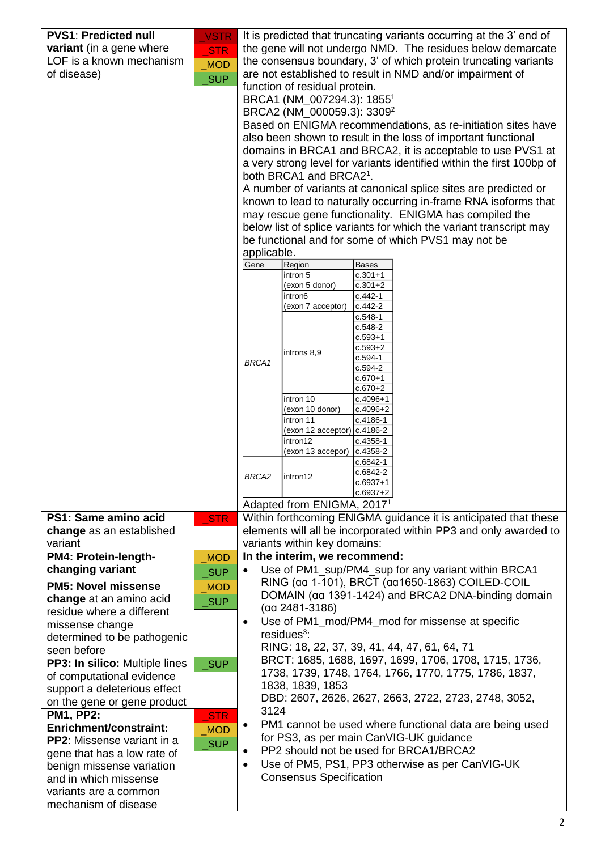| <b>PVS1: Predicted null</b>                                 | <b>VSTR</b>         |                                                                       |                                                                                           | It is predicted that truncating variants occurring at the 3' end of                                                       |                                                                  |  |  |  |
|-------------------------------------------------------------|---------------------|-----------------------------------------------------------------------|-------------------------------------------------------------------------------------------|---------------------------------------------------------------------------------------------------------------------------|------------------------------------------------------------------|--|--|--|
| variant (in a gene where                                    | <b>STR</b>          |                                                                       |                                                                                           | the gene will not undergo NMD. The residues below demarcate                                                               |                                                                  |  |  |  |
| LOF is a known mechanism                                    | <b>MOD</b>          |                                                                       |                                                                                           | the consensus boundary, 3' of which protein truncating variants                                                           |                                                                  |  |  |  |
| of disease)                                                 | <b>SUP</b>          |                                                                       |                                                                                           | are not established to result in NMD and/or impairment of                                                                 |                                                                  |  |  |  |
|                                                             |                     |                                                                       | function of residual protein.                                                             |                                                                                                                           |                                                                  |  |  |  |
|                                                             |                     | BRCA1 (NM_007294.3): 1855 <sup>1</sup>                                |                                                                                           |                                                                                                                           |                                                                  |  |  |  |
|                                                             |                     | BRCA2 (NM_000059.3): 3309 <sup>2</sup>                                |                                                                                           |                                                                                                                           |                                                                  |  |  |  |
|                                                             |                     |                                                                       |                                                                                           | Based on ENIGMA recommendations, as re-initiation sites have                                                              |                                                                  |  |  |  |
|                                                             |                     | also been shown to result in the loss of important functional         |                                                                                           |                                                                                                                           |                                                                  |  |  |  |
|                                                             |                     |                                                                       | domains in BRCA1 and BRCA2, it is acceptable to use PVS1 at                               |                                                                                                                           |                                                                  |  |  |  |
|                                                             |                     | a very strong level for variants identified within the first 100bp of |                                                                                           |                                                                                                                           |                                                                  |  |  |  |
|                                                             |                     |                                                                       | both BRCA1 and BRCA21.<br>A number of variants at canonical splice sites are predicted or |                                                                                                                           |                                                                  |  |  |  |
|                                                             |                     |                                                                       |                                                                                           |                                                                                                                           |                                                                  |  |  |  |
|                                                             |                     |                                                                       |                                                                                           | known to lead to naturally occurring in-frame RNA isoforms that<br>may rescue gene functionality. ENIGMA has compiled the |                                                                  |  |  |  |
|                                                             |                     |                                                                       |                                                                                           | below list of splice variants for which the variant transcript may                                                        |                                                                  |  |  |  |
|                                                             |                     |                                                                       |                                                                                           | be functional and for some of which PVS1 may not be                                                                       |                                                                  |  |  |  |
|                                                             |                     | applicable.                                                           |                                                                                           |                                                                                                                           |                                                                  |  |  |  |
|                                                             |                     | Gene                                                                  | Region                                                                                    | <b>Bases</b>                                                                                                              |                                                                  |  |  |  |
|                                                             |                     |                                                                       | intron 5                                                                                  | $c.301+1$                                                                                                                 |                                                                  |  |  |  |
|                                                             |                     |                                                                       | (exon 5 donor)                                                                            | $c.301 + 2$                                                                                                               |                                                                  |  |  |  |
|                                                             |                     |                                                                       | intron6<br>(exon 7 acceptor)                                                              | $c.442-1$<br>$c.442 - 2$                                                                                                  |                                                                  |  |  |  |
|                                                             |                     |                                                                       |                                                                                           | $c.548-1$                                                                                                                 |                                                                  |  |  |  |
|                                                             |                     |                                                                       |                                                                                           | $c.548-2$                                                                                                                 |                                                                  |  |  |  |
|                                                             |                     |                                                                       |                                                                                           | $c.593 + 1$<br>$c.593 + 2$                                                                                                |                                                                  |  |  |  |
|                                                             |                     | BRCA1                                                                 | introns 8,9                                                                               | $c.594-1$                                                                                                                 |                                                                  |  |  |  |
|                                                             |                     |                                                                       |                                                                                           | $c.594-2$                                                                                                                 |                                                                  |  |  |  |
|                                                             |                     |                                                                       |                                                                                           | $c.670 + 1$<br>$c.670 + 2$                                                                                                |                                                                  |  |  |  |
|                                                             |                     |                                                                       | intron 10                                                                                 | $c.4096 + 1$                                                                                                              |                                                                  |  |  |  |
|                                                             |                     |                                                                       | (exon 10 donor)                                                                           | $c.4096 + 2$                                                                                                              |                                                                  |  |  |  |
|                                                             |                     |                                                                       | intron 11<br>(exon 12 acceptor) c.4186-2                                                  | c.4186-1                                                                                                                  |                                                                  |  |  |  |
|                                                             |                     |                                                                       | intron12                                                                                  | $c.4358-1$                                                                                                                |                                                                  |  |  |  |
|                                                             |                     |                                                                       | (exon 13 accepor)                                                                         | c.4358-2                                                                                                                  |                                                                  |  |  |  |
|                                                             |                     |                                                                       |                                                                                           | c.6842-1                                                                                                                  |                                                                  |  |  |  |
|                                                             |                     | BRCA <sub>2</sub>                                                     | intron12                                                                                  | c.6842-2<br>$c.6937+1$                                                                                                    |                                                                  |  |  |  |
|                                                             |                     |                                                                       |                                                                                           | $c.6937+2$                                                                                                                |                                                                  |  |  |  |
|                                                             |                     |                                                                       | Adapted from ENIGMA, 2017 <sup>1</sup>                                                    |                                                                                                                           |                                                                  |  |  |  |
| PS1: Same amino acid                                        | <b>STR</b>          |                                                                       |                                                                                           | Within forthcoming ENIGMA guidance it is anticipated that these                                                           |                                                                  |  |  |  |
| change as an established                                    |                     |                                                                       |                                                                                           |                                                                                                                           | elements will all be incorporated within PP3 and only awarded to |  |  |  |
| variant                                                     |                     |                                                                       | variants within key domains:                                                              |                                                                                                                           |                                                                  |  |  |  |
| PM4: Protein-length-                                        | <b>MOD</b>          |                                                                       | In the interim, we recommend:                                                             |                                                                                                                           |                                                                  |  |  |  |
| changing variant                                            | $\sqrt{\text{SUP}}$ |                                                                       |                                                                                           | Use of PM1_sup/PM4_sup for any variant within BRCA1                                                                       |                                                                  |  |  |  |
| <b>PM5: Novel missense</b>                                  | <b>MOD</b>          |                                                                       |                                                                                           | RING (aa 1-101), BRCT (aa1650-1863) COILED-COIL<br>DOMAIN (aa 1391-1424) and BRCA2 DNA-binding domain                     |                                                                  |  |  |  |
| change at an amino acid                                     | SUP                 |                                                                       | $(aq 2481 - 3186)$                                                                        |                                                                                                                           |                                                                  |  |  |  |
| residue where a different                                   |                     | $\bullet$                                                             |                                                                                           | Use of PM1_mod/PM4_mod for missense at specific                                                                           |                                                                  |  |  |  |
| missense change                                             |                     |                                                                       | $residues3$ :                                                                             |                                                                                                                           |                                                                  |  |  |  |
| determined to be pathogenic                                 |                     |                                                                       |                                                                                           | RING: 18, 22, 37, 39, 41, 44, 47, 61, 64, 71                                                                              |                                                                  |  |  |  |
| seen before                                                 |                     |                                                                       |                                                                                           | BRCT: 1685, 1688, 1697, 1699, 1706, 1708, 1715, 1736,                                                                     |                                                                  |  |  |  |
| PP3: In silico: Multiple lines<br>of computational evidence | <b>SUP</b>          |                                                                       |                                                                                           | 1738, 1739, 1748, 1764, 1766, 1770, 1775, 1786, 1837,                                                                     |                                                                  |  |  |  |
| support a deleterious effect                                |                     |                                                                       | 1838, 1839, 1853                                                                          |                                                                                                                           |                                                                  |  |  |  |
| on the gene or gene product                                 |                     |                                                                       |                                                                                           | DBD: 2607, 2626, 2627, 2663, 2722, 2723, 2748, 3052,                                                                      |                                                                  |  |  |  |
| <b>PM1, PP2:</b>                                            | STR                 | 3124                                                                  |                                                                                           |                                                                                                                           |                                                                  |  |  |  |
| <b>Enrichment/constraint:</b>                               | <b>MOD</b>          | ٠                                                                     |                                                                                           | PM1 cannot be used where functional data are being used                                                                   |                                                                  |  |  |  |
| <b>PP2:</b> Missense variant in a                           | <b>SUP</b>          |                                                                       |                                                                                           | for PS3, as per main CanVIG-UK guidance                                                                                   |                                                                  |  |  |  |
| gene that has a low rate of                                 |                     |                                                                       |                                                                                           | PP2 should not be used for BRCA1/BRCA2                                                                                    |                                                                  |  |  |  |
| benign missense variation                                   |                     | $\bullet$                                                             |                                                                                           | Use of PM5, PS1, PP3 otherwise as per CanVIG-UK                                                                           |                                                                  |  |  |  |
| and in which missense                                       |                     |                                                                       | <b>Consensus Specification</b>                                                            |                                                                                                                           |                                                                  |  |  |  |
| variants are a common                                       |                     |                                                                       |                                                                                           |                                                                                                                           |                                                                  |  |  |  |
| mechanism of disease                                        |                     |                                                                       |                                                                                           |                                                                                                                           |                                                                  |  |  |  |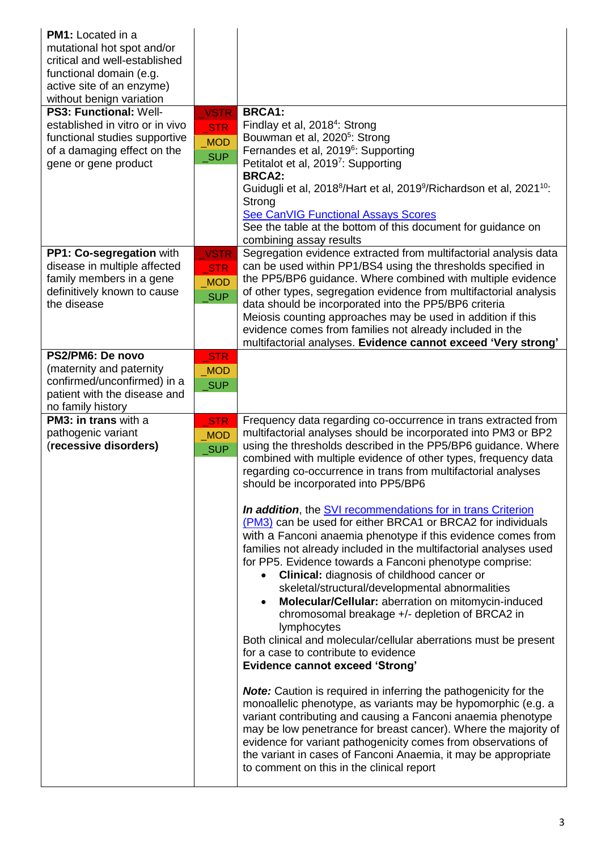| <b>PM1:</b> Located in a<br>mutational hot spot and/or<br>critical and well-established<br>functional domain (e.g.<br>active site of an enzyme)<br>without benign variation<br>PS3: Functional: Well- | <b>VSTR</b>                              | <b>BRCA1:</b>                                                                                                                                                                                                                                                                                                                                                                                                                                                                                                                                                                                                                                                                                                                                                                                                                                                                                                                                                                                                                                                                                                       |
|-------------------------------------------------------------------------------------------------------------------------------------------------------------------------------------------------------|------------------------------------------|---------------------------------------------------------------------------------------------------------------------------------------------------------------------------------------------------------------------------------------------------------------------------------------------------------------------------------------------------------------------------------------------------------------------------------------------------------------------------------------------------------------------------------------------------------------------------------------------------------------------------------------------------------------------------------------------------------------------------------------------------------------------------------------------------------------------------------------------------------------------------------------------------------------------------------------------------------------------------------------------------------------------------------------------------------------------------------------------------------------------|
| established in vitro or in vivo<br>functional studies supportive<br>of a damaging effect on the<br>gene or gene product                                                                               | <b>STR</b><br><b>MOD</b><br>_SUP         | Findlay et al, 2018 <sup>4</sup> : Strong<br>Bouwman et al, 2020 <sup>5</sup> : Strong<br>Fernandes et al, 2019 <sup>6</sup> : Supporting<br>Petitalot et al, 2019 <sup>7</sup> : Supporting<br><b>BRCA2:</b><br>Guidugli et al, 2018 <sup>8</sup> /Hart et al, 2019 <sup>9</sup> /Richardson et al, 2021 <sup>10</sup> :<br>Strong<br><b>See CanVIG Functional Assays Scores</b><br>See the table at the bottom of this document for guidance on<br>combining assay results                                                                                                                                                                                                                                                                                                                                                                                                                                                                                                                                                                                                                                        |
| PP1: Co-segregation with<br>disease in multiple affected<br>family members in a gene<br>definitively known to cause<br>the disease                                                                    | <b>VSTR</b><br>STR<br><b>MOD</b><br>_SUP | Segregation evidence extracted from multifactorial analysis data<br>can be used within PP1/BS4 using the thresholds specified in<br>the PP5/BP6 guidance. Where combined with multiple evidence<br>of other types, segregation evidence from multifactorial analysis<br>data should be incorporated into the PP5/BP6 criteria<br>Meiosis counting approaches may be used in addition if this<br>evidence comes from families not already included in the<br>multifactorial analyses. Evidence cannot exceed 'Very strong'                                                                                                                                                                                                                                                                                                                                                                                                                                                                                                                                                                                           |
| PS2/PM6: De novo<br>(maternity and paternity<br>confirmed/unconfirmed) in a<br>patient with the disease and<br>no family history                                                                      | STR<br><b>MOD</b><br>_SUP                |                                                                                                                                                                                                                                                                                                                                                                                                                                                                                                                                                                                                                                                                                                                                                                                                                                                                                                                                                                                                                                                                                                                     |
| <b>PM3: in trans with a</b><br>pathogenic variant<br>(recessive disorders)                                                                                                                            | <b>STR</b><br><b>MOD</b><br>_SUP         | Frequency data regarding co-occurrence in trans extracted from<br>multifactorial analyses should be incorporated into PM3 or BP2<br>using the thresholds described in the PP5/BP6 guidance. Where<br>combined with multiple evidence of other types, frequency data<br>regarding co-occurrence in trans from multifactorial analyses<br>should be incorporated into PP5/BP6<br><b>In addition, the SVI recommendations for in trans Criterion</b><br>(PM3) can be used for either BRCA1 or BRCA2 for individuals<br>with a Fanconi anaemia phenotype if this evidence comes from<br>families not already included in the multifactorial analyses used<br>for PP5. Evidence towards a Fanconi phenotype comprise:<br><b>Clinical:</b> diagnosis of childhood cancer or<br>skeletal/structural/developmental abnormalities<br>Molecular/Cellular: aberration on mitomycin-induced<br>$\bullet$<br>chromosomal breakage +/- depletion of BRCA2 in<br>lymphocytes<br>Both clinical and molecular/cellular aberrations must be present<br>for a case to contribute to evidence<br><b>Evidence cannot exceed 'Strong'</b> |
|                                                                                                                                                                                                       |                                          | <b>Note:</b> Caution is required in inferring the pathogenicity for the<br>monoallelic phenotype, as variants may be hypomorphic (e.g. a<br>variant contributing and causing a Fanconi anaemia phenotype<br>may be low penetrance for breast cancer). Where the majority of<br>evidence for variant pathogenicity comes from observations of<br>the variant in cases of Fanconi Anaemia, it may be appropriate<br>to comment on this in the clinical report                                                                                                                                                                                                                                                                                                                                                                                                                                                                                                                                                                                                                                                         |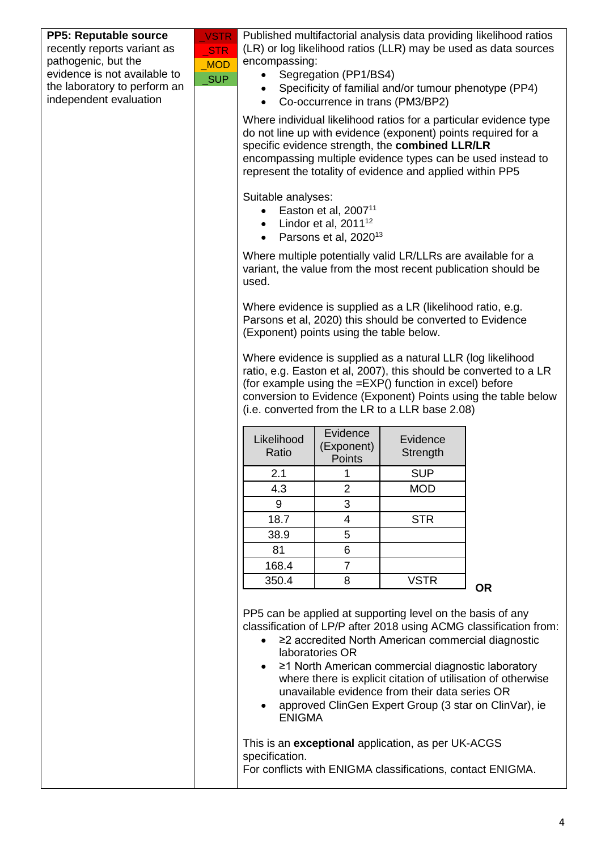| <b>PP5: Reputable source</b> | <b>VSTR</b> |                                                                                                                                                                                                                                                                                                                   |                      |                                                                                                                                                                                                                                                                                   | Published multifactorial analysis data providing likelihood ratios                                                                |  |
|------------------------------|-------------|-------------------------------------------------------------------------------------------------------------------------------------------------------------------------------------------------------------------------------------------------------------------------------------------------------------------|----------------------|-----------------------------------------------------------------------------------------------------------------------------------------------------------------------------------------------------------------------------------------------------------------------------------|-----------------------------------------------------------------------------------------------------------------------------------|--|
| recently reports variant as  | <b>STR</b>  | (LR) or log likelihood ratios (LLR) may be used as data sources                                                                                                                                                                                                                                                   |                      |                                                                                                                                                                                                                                                                                   |                                                                                                                                   |  |
| pathogenic, but the          | <b>MOD</b>  | encompassing:                                                                                                                                                                                                                                                                                                     |                      |                                                                                                                                                                                                                                                                                   |                                                                                                                                   |  |
| evidence is not available to | <b>SUP</b>  | Segregation (PP1/BS4)                                                                                                                                                                                                                                                                                             |                      |                                                                                                                                                                                                                                                                                   |                                                                                                                                   |  |
| the laboratory to perform an |             | Specificity of familial and/or tumour phenotype (PP4)                                                                                                                                                                                                                                                             |                      |                                                                                                                                                                                                                                                                                   |                                                                                                                                   |  |
| independent evaluation       |             | Co-occurrence in trans (PM3/BP2)<br>$\bullet$                                                                                                                                                                                                                                                                     |                      |                                                                                                                                                                                                                                                                                   |                                                                                                                                   |  |
|                              |             | Where individual likelihood ratios for a particular evidence type<br>do not line up with evidence (exponent) points required for a<br>specific evidence strength, the combined LLR/LR<br>encompassing multiple evidence types can be used instead to<br>represent the totality of evidence and applied within PP5 |                      |                                                                                                                                                                                                                                                                                   |                                                                                                                                   |  |
|                              |             | Suitable analyses:<br>Easton et al, 2007 <sup>11</sup><br>Lindor et al, $2011^{12}$<br>$\bullet$<br>Parsons et al, 2020 <sup>13</sup>                                                                                                                                                                             |                      |                                                                                                                                                                                                                                                                                   |                                                                                                                                   |  |
|                              |             | Where multiple potentially valid LR/LLRs are available for a<br>variant, the value from the most recent publication should be<br>used.                                                                                                                                                                            |                      |                                                                                                                                                                                                                                                                                   |                                                                                                                                   |  |
|                              |             | Where evidence is supplied as a LR (likelihood ratio, e.g.<br>Parsons et al, 2020) this should be converted to Evidence<br>(Exponent) points using the table below.                                                                                                                                               |                      |                                                                                                                                                                                                                                                                                   |                                                                                                                                   |  |
|                              |             | Where evidence is supplied as a natural LLR (log likelihood<br>ratio, e.g. Easton et al, 2007), this should be converted to a LR<br>(for example using the =EXP() function in excel) before<br>conversion to Evidence (Exponent) Points using the table below<br>(i.e. converted from the LR to a LLR base 2.08)  |                      |                                                                                                                                                                                                                                                                                   |                                                                                                                                   |  |
|                              |             |                                                                                                                                                                                                                                                                                                                   | Evidence             |                                                                                                                                                                                                                                                                                   |                                                                                                                                   |  |
|                              |             | Likelihood<br>Ratio                                                                                                                                                                                                                                                                                               | (Exponent)<br>Points | Evidence<br>Strength                                                                                                                                                                                                                                                              |                                                                                                                                   |  |
|                              |             | 2.1                                                                                                                                                                                                                                                                                                               | 1                    | <b>SUP</b>                                                                                                                                                                                                                                                                        |                                                                                                                                   |  |
|                              |             | 4.3                                                                                                                                                                                                                                                                                                               | $\overline{2}$       | <b>MOD</b>                                                                                                                                                                                                                                                                        |                                                                                                                                   |  |
|                              |             | $\boldsymbol{9}$                                                                                                                                                                                                                                                                                                  | $\mathfrak{S}$       |                                                                                                                                                                                                                                                                                   |                                                                                                                                   |  |
|                              |             | 18.7                                                                                                                                                                                                                                                                                                              | $\overline{4}$       | <b>STR</b>                                                                                                                                                                                                                                                                        |                                                                                                                                   |  |
|                              |             | 38.9                                                                                                                                                                                                                                                                                                              | 5                    |                                                                                                                                                                                                                                                                                   |                                                                                                                                   |  |
|                              |             | 81                                                                                                                                                                                                                                                                                                                | $\,6\,$              |                                                                                                                                                                                                                                                                                   |                                                                                                                                   |  |
|                              |             |                                                                                                                                                                                                                                                                                                                   |                      |                                                                                                                                                                                                                                                                                   |                                                                                                                                   |  |
|                              |             | 168.4                                                                                                                                                                                                                                                                                                             | $\overline{7}$       |                                                                                                                                                                                                                                                                                   |                                                                                                                                   |  |
|                              |             | 350.4                                                                                                                                                                                                                                                                                                             | 8                    | <b>VSTR</b>                                                                                                                                                                                                                                                                       | <b>OR</b>                                                                                                                         |  |
|                              |             | <b>ENIGMA</b>                                                                                                                                                                                                                                                                                                     | laboratories OR      | PP5 can be applied at supporting level on the basis of any<br>≥2 accredited North American commercial diagnostic<br>≥1 North American commercial diagnostic laboratory<br>unavailable evidence from their data series OR<br>approved ClinGen Expert Group (3 star on ClinVar), ie | classification of LP/P after 2018 using ACMG classification from:<br>where there is explicit citation of utilisation of otherwise |  |
|                              |             | specification.                                                                                                                                                                                                                                                                                                    |                      | This is an exceptional application, as per UK-ACGS<br>For conflicts with ENIGMA classifications, contact ENIGMA.                                                                                                                                                                  |                                                                                                                                   |  |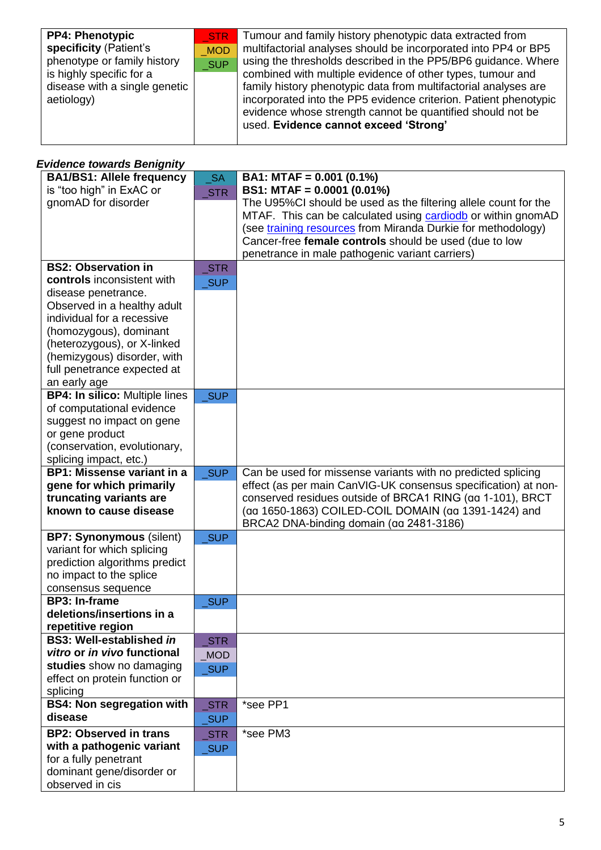| <b>PP4: Phenotypic</b><br>specificity (Patient's<br>phenotype or family history<br>is highly specific for a<br>disease with a single genetic<br>aetiology) | STR<br><b>MOD</b><br><b>SUP</b> | Tumour and family history phenotypic data extracted from<br>multifactorial analyses should be incorporated into PP4 or BP5<br>using the thresholds described in the PP5/BP6 guidance. Where<br>combined with multiple evidence of other types, tumour and<br>family history phenotypic data from multifactorial analyses are<br>incorporated into the PP5 evidence criterion. Patient phenotypic<br>evidence whose strength cannot be quantified should not be<br>used. Evidence cannot exceed 'Strong' |
|------------------------------------------------------------------------------------------------------------------------------------------------------------|---------------------------------|---------------------------------------------------------------------------------------------------------------------------------------------------------------------------------------------------------------------------------------------------------------------------------------------------------------------------------------------------------------------------------------------------------------------------------------------------------------------------------------------------------|
|------------------------------------------------------------------------------------------------------------------------------------------------------------|---------------------------------|---------------------------------------------------------------------------------------------------------------------------------------------------------------------------------------------------------------------------------------------------------------------------------------------------------------------------------------------------------------------------------------------------------------------------------------------------------------------------------------------------------|

#### *Evidence towards Benignity*

| <b>BA1/BS1: Allele frequency</b>             | <b>SA</b>           | BA1: MTAF = $0.001$ (0.1%)                                      |
|----------------------------------------------|---------------------|-----------------------------------------------------------------|
| is "too high" in ExAC or                     | STR                 | BS1: MTAF = $0.0001$ (0.01%)                                    |
| gnomAD for disorder                          |                     | The U95%CI should be used as the filtering allele count for the |
|                                              |                     | MTAF. This can be calculated using cardiodb or within gnomAD    |
|                                              |                     | (see training resources from Miranda Durkie for methodology)    |
|                                              |                     | Cancer-free female controls should be used (due to low          |
|                                              |                     | penetrance in male pathogenic variant carriers)                 |
| <b>BS2: Observation in</b>                   | STR                 |                                                                 |
| controls inconsistent with                   | _SUP                |                                                                 |
| disease penetrance.                          |                     |                                                                 |
| Observed in a healthy adult                  |                     |                                                                 |
| individual for a recessive                   |                     |                                                                 |
| (homozygous), dominant                       |                     |                                                                 |
| (heterozygous), or X-linked                  |                     |                                                                 |
| (hemizygous) disorder, with                  |                     |                                                                 |
| full penetrance expected at                  |                     |                                                                 |
| an early age                                 |                     |                                                                 |
| <b>BP4: In silico: Multiple lines</b>        | <b>SUP</b>          |                                                                 |
| of computational evidence                    |                     |                                                                 |
| suggest no impact on gene                    |                     |                                                                 |
| or gene product                              |                     |                                                                 |
| (conservation, evolutionary,                 |                     |                                                                 |
| splicing impact, etc.)                       |                     |                                                                 |
| <b>BP1: Missense variant in a</b>            | <b>SUP</b>          | Can be used for missense variants with no predicted splicing    |
| gene for which primarily                     |                     | effect (as per main CanVIG-UK consensus specification) at non-  |
| truncating variants are                      |                     | conserved residues outside of BRCA1 RING (aa 1-101), BRCT       |
| known to cause disease                       |                     | (aa 1650-1863) COILED-COIL DOMAIN (aa 1391-1424) and            |
|                                              |                     | BRCA2 DNA-binding domain (aa 2481-3186)                         |
| <b>BP7: Synonymous (silent)</b>              |                     |                                                                 |
|                                              | _SUP                |                                                                 |
| variant for which splicing                   |                     |                                                                 |
| prediction algorithms predict                |                     |                                                                 |
| no impact to the splice                      |                     |                                                                 |
| consensus sequence                           |                     |                                                                 |
| <b>BP3: In-frame</b>                         | $\sqrt{\text{SUP}}$ |                                                                 |
| deletions/insertions in a                    |                     |                                                                 |
| repetitive region                            |                     |                                                                 |
| <b>BS3: Well-established in</b>              | STR                 |                                                                 |
| vitro or in vivo functional                  | <b>MOD</b>          |                                                                 |
| studies show no damaging                     | <b>SUP</b>          |                                                                 |
| effect on protein function or                |                     |                                                                 |
| splicing                                     |                     |                                                                 |
| <b>BS4: Non segregation with</b>             | <b>STR</b>          | *see PP1                                                        |
| disease                                      | $\sqrt{\text{SUP}}$ |                                                                 |
| <b>BP2: Observed in trans</b>                | STR                 | *see PM3                                                        |
| with a pathogenic variant                    | <b>SUP</b>          |                                                                 |
| for a fully penetrant                        |                     |                                                                 |
| dominant gene/disorder or<br>observed in cis |                     |                                                                 |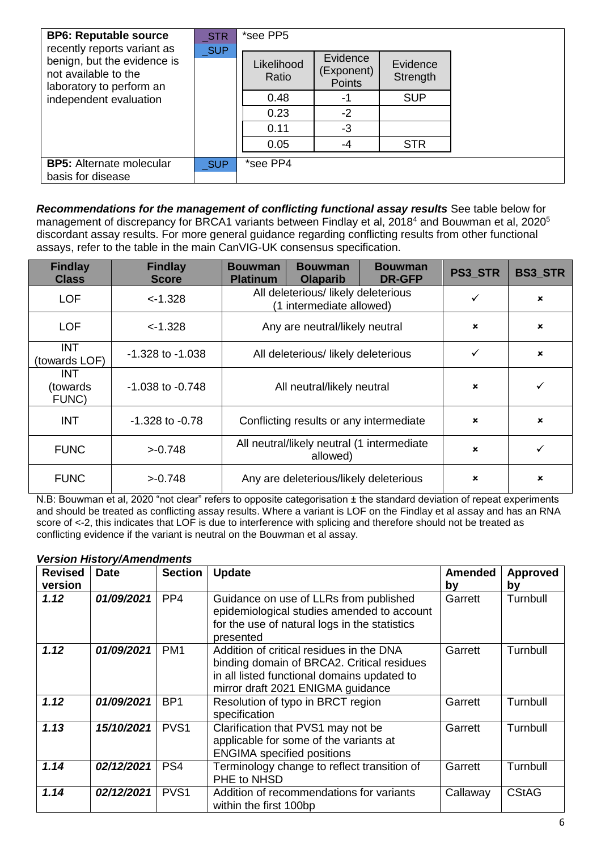| <b>BP6: Reputable source</b><br>recently reports variant as                     | <b>STR</b><br><b>SUP</b> | *see PP5            |                                         |                      |  |
|---------------------------------------------------------------------------------|--------------------------|---------------------|-----------------------------------------|----------------------|--|
| benign, but the evidence is<br>not available to the<br>laboratory to perform an |                          | Likelihood<br>Ratio | Evidence<br>(Exponent)<br><b>Points</b> | Evidence<br>Strength |  |
| independent evaluation                                                          |                          | 0.48                |                                         | <b>SUP</b>           |  |
|                                                                                 |                          | 0.23                | $-2$                                    |                      |  |
|                                                                                 |                          | 0.11                | -3                                      |                      |  |
|                                                                                 |                          | 0.05                | -4                                      | <b>STR</b>           |  |
| <b>BP5:</b> Alternate molecular<br>basis for disease                            | <b>SUP</b>               | *see PP4            |                                         |                      |  |

*Recommendations for the management of conflicting functional assay results* See table below for management of discrepancy for BRCA1 variants between Findlay et al, 2018<sup>4</sup> and Bouwman et al, 2020<sup>5</sup> discordant assay results. For more general guidance regarding conflicting results from other functional assays, refer to the table in the main CanVIG-UK consensus specification.

| <b>Findlay</b><br><b>Class</b>   | <b>Findlay</b><br><b>Score</b> | <b>Bouwman</b><br><b>Platinum</b>                               | <b>Bouwman</b><br><b>Olaparib</b> | <b>Bouwman</b><br><b>DR-GFP</b> | <b>PS3 STR</b>            | <b>BS3_STR</b>            |
|----------------------------------|--------------------------------|-----------------------------------------------------------------|-----------------------------------|---------------------------------|---------------------------|---------------------------|
| <b>LOF</b>                       | $< -1.328$                     | All deleterious/ likely deleterious<br>(1 intermediate allowed) |                                   |                                 | ✓                         | $\pmb{\times}$            |
| <b>LOF</b>                       | $-1.328$                       | Any are neutral/likely neutral                                  |                                   |                                 | $\mathbf x$               | $\pmb{\times}$            |
| <b>INT</b><br>(towards LOF)      | $-1.328$ to $-1.038$           | All deleterious/likely deleterious                              |                                   |                                 | ✓                         | $\pmb{\times}$            |
| <b>INT</b><br>(towards)<br>FUNC) | $-1.038$ to $-0.748$           | All neutral/likely neutral                                      |                                   |                                 | $\boldsymbol{\mathsf{x}}$ |                           |
| <b>INT</b>                       | $-1.328$ to $-0.78$            | Conflicting results or any intermediate                         |                                   |                                 | $\boldsymbol{\mathsf{x}}$ | $\mathbf x$               |
| <b>FUNC</b>                      | >0.748                         | All neutral/likely neutral (1 intermediate<br>allowed)          |                                   |                                 | $\mathbf x$               |                           |
| <b>FUNC</b>                      | >0.748                         | Any are deleterious/likely deleterious                          |                                   |                                 | ×                         | $\boldsymbol{\mathsf{x}}$ |

N.B: Bouwman et al, 2020 "not clear" refers to opposite categorisation ± the standard deviation of repeat experiments and should be treated as conflicting assay results. Where a variant is LOF on the Findlay et al assay and has an RNA score of <-2, this indicates that LOF is due to interference with splicing and therefore should not be treated as conflicting evidence if the variant is neutral on the Bouwman et al assay.

|                | <i><b>version History/Amenaments</b></i> |                  |                                                                                                                                                                            |                |              |
|----------------|------------------------------------------|------------------|----------------------------------------------------------------------------------------------------------------------------------------------------------------------------|----------------|--------------|
| <b>Revised</b> | <b>Date</b>                              | <b>Section</b>   | <b>Update</b>                                                                                                                                                              | <b>Amended</b> | Approved     |
| version        |                                          |                  |                                                                                                                                                                            | by             | by           |
| 1.12           | 01/09/2021                               | PP <sub>4</sub>  | Guidance on use of LLRs from published<br>epidemiological studies amended to account<br>for the use of natural logs in the statistics<br>presented                         | Garrett        | Turnbull     |
| 1.12           | 01/09/2021                               | PM <sub>1</sub>  | Addition of critical residues in the DNA<br>binding domain of BRCA2. Critical residues<br>in all listed functional domains updated to<br>mirror draft 2021 ENIGMA guidance | Garrett        | Turnbull     |
| 1.12           | 01/09/2021                               | BP <sub>1</sub>  | Resolution of typo in BRCT region<br>specification                                                                                                                         | Garrett        | Turnbull     |
| 1.13           | 15/10/2021                               | PVS <sub>1</sub> | Clarification that PVS1 may not be<br>applicable for some of the variants at<br><b>ENGIMA</b> specified positions                                                          | Garrett        | Turnbull     |
| 1.14           | 02/12/2021                               | PS4              | Terminology change to reflect transition of<br>PHE to NHSD                                                                                                                 | Garrett        | Turnbull     |
| 1.14           | 02/12/2021                               | PVS <sub>1</sub> | Addition of recommendations for variants<br>within the first 100bp                                                                                                         | Callaway       | <b>CStAG</b> |

#### *Version History/Amendments*